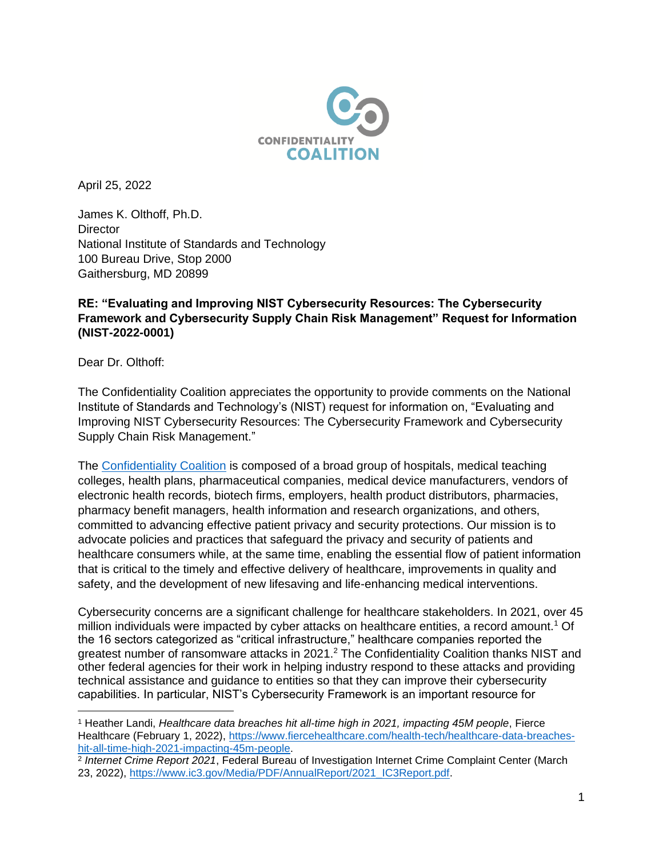

April 25, 2022

James K. Olthoff, Ph.D. **Director** National Institute of Standards and Technology 100 Bureau Drive, Stop 2000 Gaithersburg, MD 20899

## **RE: "Evaluating and Improving NIST Cybersecurity Resources: The Cybersecurity Framework and Cybersecurity Supply Chain Risk Management" Request for Information (NIST-2022-0001)**

Dear Dr. Olthoff:

The Confidentiality Coalition appreciates the opportunity to provide comments on the National Institute of Standards and Technology's (NIST) request for information on, "Evaluating and Improving NIST Cybersecurity Resources: The Cybersecurity Framework and Cybersecurity Supply Chain Risk Management."

The [Confidentiality Coalition](https://www.confidentialitycoalition.org/) is composed of a broad group of hospitals, medical teaching colleges, health plans, pharmaceutical companies, medical device manufacturers, vendors of electronic health records, biotech firms, employers, health product distributors, pharmacies, pharmacy benefit managers, health information and research organizations, and others, committed to advancing effective patient privacy and security protections. Our mission is to advocate policies and practices that safeguard the privacy and security of patients and healthcare consumers while, at the same time, enabling the essential flow of patient information that is critical to the timely and effective delivery of healthcare, improvements in quality and safety, and the development of new lifesaving and life-enhancing medical interventions.

Cybersecurity concerns are a significant challenge for healthcare stakeholders. In 2021, over 45 million individuals were impacted by cyber attacks on healthcare entities, a record amount.<sup>1</sup> Of the 16 sectors categorized as "critical infrastructure," healthcare companies reported the greatest number of ransomware attacks in 2021.<sup>2</sup> The Confidentiality Coalition thanks NIST and other federal agencies for their work in helping industry respond to these attacks and providing technical assistance and guidance to entities so that they can improve their cybersecurity capabilities. In particular, NIST's Cybersecurity Framework is an important resource for

<sup>1</sup> Heather Landi, *Healthcare data breaches hit all-time high in 2021, impacting 45M people*, Fierce Healthcare (February 1, 2022), [https://www.fiercehealthcare.com/health-tech/healthcare-data-breaches](https://www.fiercehealthcare.com/health-tech/healthcare-data-breaches-hit-all-time-high-2021-impacting-45m-people)[hit-all-time-high-2021-impacting-45m-people.](https://www.fiercehealthcare.com/health-tech/healthcare-data-breaches-hit-all-time-high-2021-impacting-45m-people)

<sup>2</sup> *Internet Crime Report 2021*, Federal Bureau of Investigation Internet Crime Complaint Center (March 23, 2022), [https://www.ic3.gov/Media/PDF/AnnualReport/2021\\_IC3Report.pdf.](https://www.ic3.gov/Media/PDF/AnnualReport/2021_IC3Report.pdf)